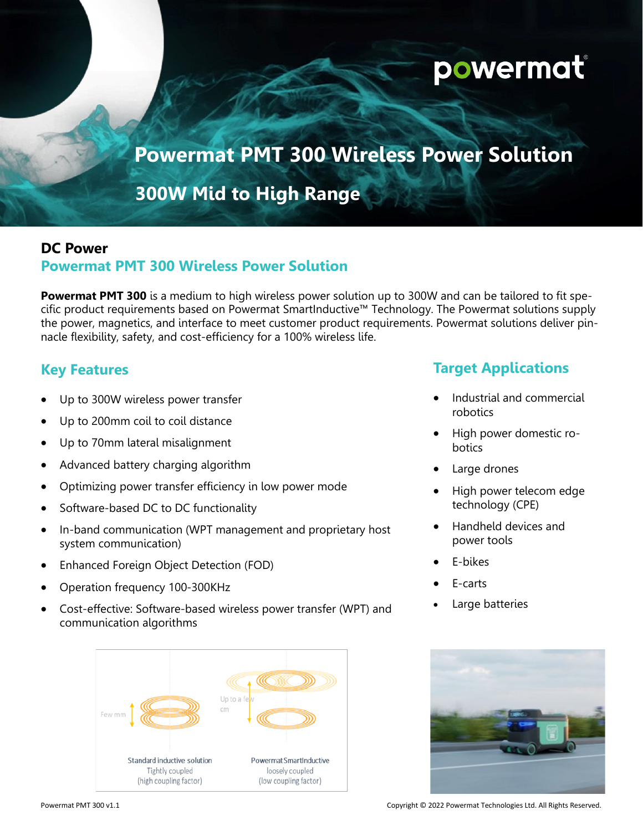# **powermat**

## **Powermat PMT 300 Wireless Power Solution**

## **300W Mid to High Range**

#### **DC Power**

#### **Powermat PMT 300 Wireless Power Solution**

**Powermat PMT 300** is a medium to high wireless power solution up to 300W and can be tailored to fit specific product requirements based on Powermat SmartInductive™ Technology. The Powermat solutions supply the power, magnetics, and interface to meet customer product requirements. Powermat solutions deliver pinnacle flexibility, safety, and cost-efficiency for a 100% wireless life.

#### **Key Features**

- Up to 300W wireless power transfer
- Up to 200mm coil to coil distance
- Up to 70mm lateral misalignment
- Advanced battery charging algorithm
- Optimizing power transfer efficiency in low power mode
- Software-based DC to DC functionality
- In-band communication (WPT management and proprietary host system communication)
- Enhanced Foreign Object Detection (FOD)
- Operation frequency 100-300KHz
- Cost-effective: Software-based wireless power transfer (WPT) and communication algorithms



#### **Target Applications**

- Industrial and commercial robotics
- High power domestic robotics
- Large drones
- High power telecom edge technology (CPE)
- Handheld devices and power tools
- E-bikes
- E-carts
- Large batteries